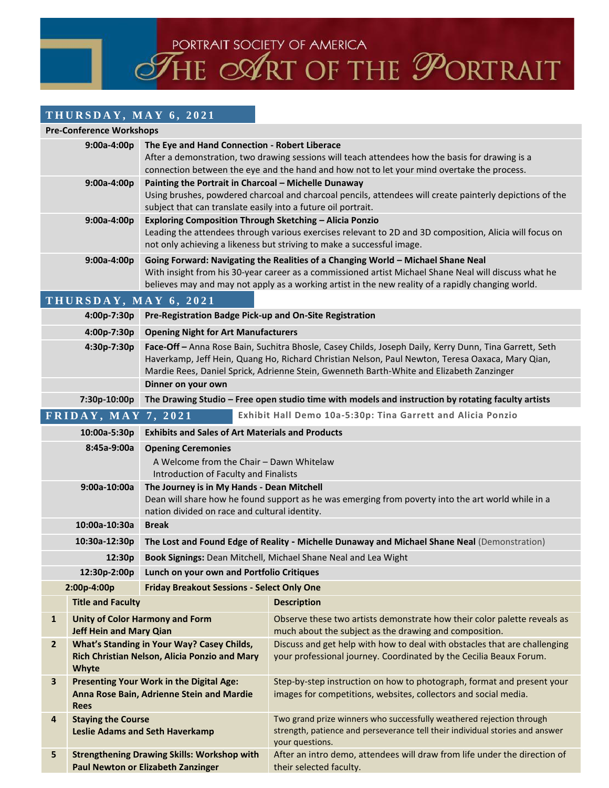PORTRAIT SOCIETY OF AMERICA<br>THE COART OF THE PORTRAIT

## **T H U R S D A Y , M A Y 6 , 2 0 2 1**

| <b>Pre-Conference Workshops</b>                                                                    |                                                                                                             |                                                                                                                                                                                                                                                                                                        |                                                                                                                                                                                                                                                                                                 |  |  |  |
|----------------------------------------------------------------------------------------------------|-------------------------------------------------------------------------------------------------------------|--------------------------------------------------------------------------------------------------------------------------------------------------------------------------------------------------------------------------------------------------------------------------------------------------------|-------------------------------------------------------------------------------------------------------------------------------------------------------------------------------------------------------------------------------------------------------------------------------------------------|--|--|--|
| $9:00a-4:00p$                                                                                      |                                                                                                             | The Eye and Hand Connection - Robert Liberace<br>After a demonstration, two drawing sessions will teach attendees how the basis for drawing is a<br>connection between the eye and the hand and how not to let your mind overtake the process.                                                         |                                                                                                                                                                                                                                                                                                 |  |  |  |
| 9:00a-4:00p                                                                                        |                                                                                                             | Painting the Portrait in Charcoal - Michelle Dunaway<br>Using brushes, powdered charcoal and charcoal pencils, attendees will create painterly depictions of the<br>subject that can translate easily into a future oil portrait.                                                                      |                                                                                                                                                                                                                                                                                                 |  |  |  |
| 9:00a-4:00p                                                                                        |                                                                                                             | <b>Exploring Composition Through Sketching - Alicia Ponzio</b><br>Leading the attendees through various exercises relevant to 2D and 3D composition, Alicia will focus on<br>not only achieving a likeness but striving to make a successful image.                                                    |                                                                                                                                                                                                                                                                                                 |  |  |  |
| 9:00a-4:00p                                                                                        |                                                                                                             |                                                                                                                                                                                                                                                                                                        | Going Forward: Navigating the Realities of a Changing World - Michael Shane Neal<br>With insight from his 30-year career as a commissioned artist Michael Shane Neal will discuss what he<br>believes may and may not apply as a working artist in the new reality of a rapidly changing world. |  |  |  |
|                                                                                                    |                                                                                                             | THURSDAY, MAY 6, 2021                                                                                                                                                                                                                                                                                  |                                                                                                                                                                                                                                                                                                 |  |  |  |
|                                                                                                    | 4:00p-7:30p                                                                                                 | Pre-Registration Badge Pick-up and On-Site Registration                                                                                                                                                                                                                                                |                                                                                                                                                                                                                                                                                                 |  |  |  |
| 4:00p-7:30p                                                                                        |                                                                                                             | <b>Opening Night for Art Manufacturers</b>                                                                                                                                                                                                                                                             |                                                                                                                                                                                                                                                                                                 |  |  |  |
| 4:30p-7:30p                                                                                        |                                                                                                             | Face-Off - Anna Rose Bain, Suchitra Bhosle, Casey Childs, Joseph Daily, Kerry Dunn, Tina Garrett, Seth<br>Haverkamp, Jeff Hein, Quang Ho, Richard Christian Nelson, Paul Newton, Teresa Oaxaca, Mary Qian,<br>Mardie Rees, Daniel Sprick, Adrienne Stein, Gwenneth Barth-White and Elizabeth Zanzinger |                                                                                                                                                                                                                                                                                                 |  |  |  |
|                                                                                                    |                                                                                                             | Dinner on your own                                                                                                                                                                                                                                                                                     |                                                                                                                                                                                                                                                                                                 |  |  |  |
| 7:30p-10:00p                                                                                       |                                                                                                             | The Drawing Studio - Free open studio time with models and instruction by rotating faculty artists                                                                                                                                                                                                     |                                                                                                                                                                                                                                                                                                 |  |  |  |
| FRIDAY, MAY 7, 2021                                                                                |                                                                                                             |                                                                                                                                                                                                                                                                                                        | Exhibit Hall Demo 10a-5:30p: Tina Garrett and Alicia Ponzio                                                                                                                                                                                                                                     |  |  |  |
| 10:00a-5:30p                                                                                       |                                                                                                             | <b>Exhibits and Sales of Art Materials and Products</b>                                                                                                                                                                                                                                                |                                                                                                                                                                                                                                                                                                 |  |  |  |
| 8:45a-9:00a                                                                                        |                                                                                                             | <b>Opening Ceremonies</b><br>A Welcome from the Chair - Dawn Whitelaw<br>Introduction of Faculty and Finalists                                                                                                                                                                                         |                                                                                                                                                                                                                                                                                                 |  |  |  |
| 9:00a-10:00a                                                                                       |                                                                                                             | The Journey is in My Hands - Dean Mitchell<br>Dean will share how he found support as he was emerging from poverty into the art world while in a<br>nation divided on race and cultural identity.                                                                                                      |                                                                                                                                                                                                                                                                                                 |  |  |  |
|                                                                                                    | 10:00a-10:30a                                                                                               | <b>Break</b>                                                                                                                                                                                                                                                                                           |                                                                                                                                                                                                                                                                                                 |  |  |  |
|                                                                                                    | 10:30a-12:30p                                                                                               | The Lost and Found Edge of Reality - Michelle Dunaway and Michael Shane Neal (Demonstration)                                                                                                                                                                                                           |                                                                                                                                                                                                                                                                                                 |  |  |  |
|                                                                                                    | 12:30p                                                                                                      | Book Signings: Dean Mitchell, Michael Shane Neal and Lea Wight                                                                                                                                                                                                                                         |                                                                                                                                                                                                                                                                                                 |  |  |  |
|                                                                                                    |                                                                                                             | 12:30p-2:00p Lunch on your own and Portfolio Critiques                                                                                                                                                                                                                                                 |                                                                                                                                                                                                                                                                                                 |  |  |  |
| <b>Friday Breakout Sessions - Select Only One</b><br>2:00p-4:00p                                   |                                                                                                             |                                                                                                                                                                                                                                                                                                        |                                                                                                                                                                                                                                                                                                 |  |  |  |
|                                                                                                    | <b>Title and Faculty</b>                                                                                    |                                                                                                                                                                                                                                                                                                        | <b>Description</b>                                                                                                                                                                                                                                                                              |  |  |  |
| $\mathbf{1}$                                                                                       | <b>Jeff Hein and Mary Qian</b>                                                                              | <b>Unity of Color Harmony and Form</b>                                                                                                                                                                                                                                                                 | Observe these two artists demonstrate how their color palette reveals as<br>much about the subject as the drawing and composition.                                                                                                                                                              |  |  |  |
| $\mathbf{2}$                                                                                       | What's Standing in Your Way? Casey Childs,<br>Rich Christian Nelson, Alicia Ponzio and Mary<br><b>Whyte</b> |                                                                                                                                                                                                                                                                                                        | Discuss and get help with how to deal with obstacles that are challenging<br>your professional journey. Coordinated by the Cecilia Beaux Forum.                                                                                                                                                 |  |  |  |
| Presenting Your Work in the Digital Age:<br>3<br>Anna Rose Bain, Adrienne Stein and Mardie<br>Rees |                                                                                                             |                                                                                                                                                                                                                                                                                                        | Step-by-step instruction on how to photograph, format and present your<br>images for competitions, websites, collectors and social media.                                                                                                                                                       |  |  |  |
| <b>Staying the Course</b><br>4<br><b>Leslie Adams and Seth Haverkamp</b>                           |                                                                                                             |                                                                                                                                                                                                                                                                                                        | Two grand prize winners who successfully weathered rejection through<br>strength, patience and perseverance tell their individual stories and answer<br>your questions.                                                                                                                         |  |  |  |
| 5                                                                                                  |                                                                                                             | <b>Strengthening Drawing Skills: Workshop with</b><br><b>Paul Newton or Elizabeth Zanzinger</b>                                                                                                                                                                                                        | After an intro demo, attendees will draw from life under the direction of<br>their selected faculty.                                                                                                                                                                                            |  |  |  |